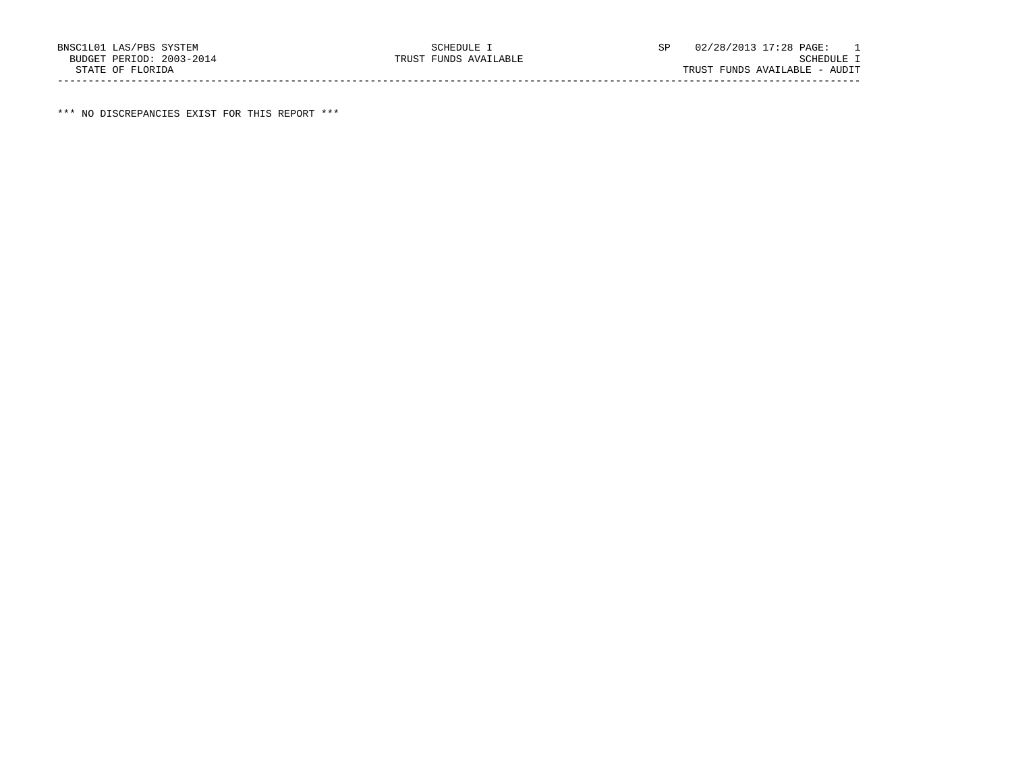\*\*\* NO DISCREPANCIES EXIST FOR THIS REPORT \*\*\*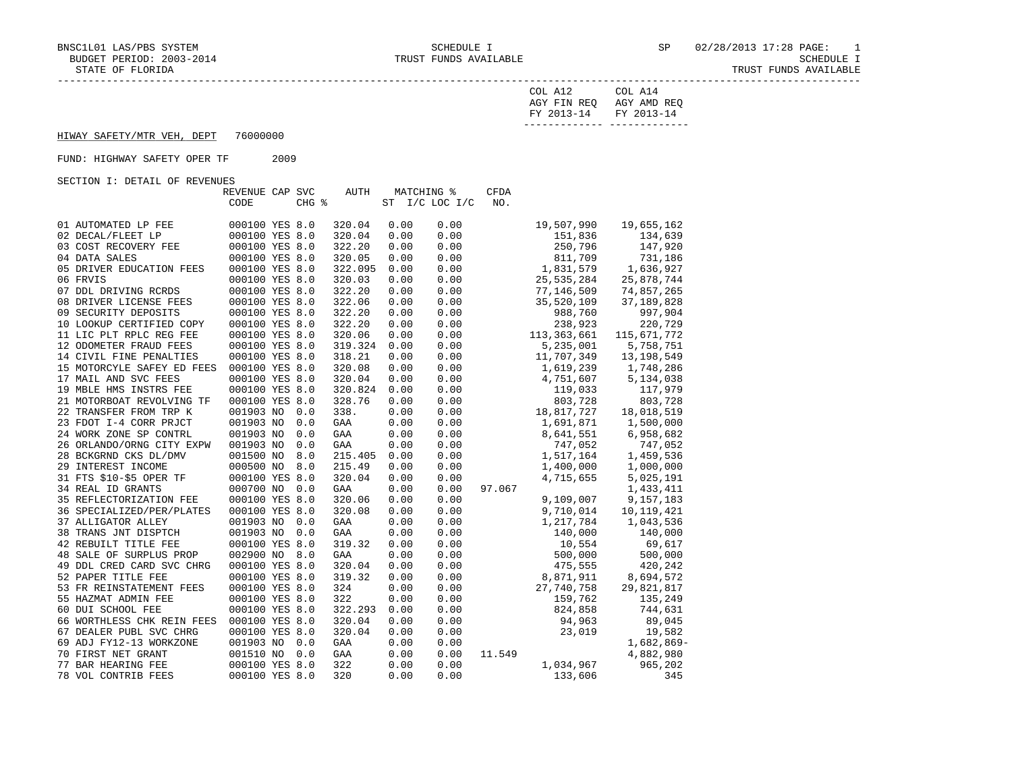| LORIDA<br>OF<br>تتطلب | 'UNDS<br>AVAILABLE<br>TRUST |
|-----------------------|-----------------------------|
|                       |                             |

| COL A12                 | COL A14     |
|-------------------------|-------------|
| AGY FIN REO             | AGY AMD REO |
| FY 2013-14 FY 2013-14   |             |
| . _ _ _ _ _ _ _ _ _ _ _ |             |

### HIWAY SAFETY/MTR VEH, DEPT 76000000

# FUND: HIGHWAY SAFETY OPER TF 2009

SECTION I: DETAIL OF REVENUES

|                            | REVENUE CAP SVC |       | AUTH    |      | MATCHING %     | <b>CFDA</b> |              |              |
|----------------------------|-----------------|-------|---------|------|----------------|-------------|--------------|--------------|
|                            | CODE            | CHG % |         |      | ST I/C LOC I/C | NO.         |              |              |
|                            |                 |       |         |      |                |             |              |              |
| 01 AUTOMATED LP FEE        | 000100 YES 8.0  |       | 320.04  | 0.00 | 0.00           |             | 19,507,990   | 19,655,162   |
| 02 DECAL/FLEET LP          | 000100 YES 8.0  |       | 320.04  | 0.00 | 0.00           |             | 151,836      | 134,639      |
| 03 COST RECOVERY FEE       | 000100 YES 8.0  |       | 322.20  | 0.00 | 0.00           |             | 250,796      | 147,920      |
| 04 DATA SALES              | 000100 YES 8.0  |       | 320.05  | 0.00 | 0.00           |             | 811,709      | 731,186      |
| 05 DRIVER EDUCATION FEES   | 000100 YES 8.0  |       | 322.095 | 0.00 | 0.00           |             | 1,831,579    | 1,636,927    |
| 06 FRVIS                   | 000100 YES 8.0  |       | 320.03  | 0.00 | 0.00           |             | 25, 535, 284 | 25,878,744   |
| 07 DDL DRIVING RCRDS       | 000100 YES 8.0  |       | 322.20  | 0.00 | 0.00           |             | 77,146,509   | 74,857,265   |
| 08 DRIVER LICENSE FEES     | 000100 YES 8.0  |       | 322.06  | 0.00 | 0.00           |             | 35,520,109   | 37, 189, 828 |
| 09 SECURITY DEPOSITS       | 000100 YES 8.0  |       | 322.20  | 0.00 | 0.00           |             | 988,760      | 997,904      |
| 10 LOOKUP CERTIFIED COPY   | 000100 YES 8.0  |       | 322.20  | 0.00 | 0.00           |             | 238,923      | 220,729      |
| 11 LIC PLT RPLC REG FEE    | 000100 YES 8.0  |       | 320.06  | 0.00 | 0.00           |             | 113,363,661  | 115,671,772  |
| 12 ODOMETER FRAUD FEES     | 000100 YES 8.0  |       | 319.324 | 0.00 | 0.00           |             | 5,235,001    | 5,758,751    |
| 14 CIVIL FINE PENALTIES    | 000100 YES 8.0  |       | 318.21  | 0.00 | 0.00           |             | 11,707,349   | 13, 198, 549 |
| 15 MOTORCYLE SAFEY ED FEES | 000100 YES 8.0  |       | 320.08  | 0.00 | 0.00           |             | 1,619,239    | 1,748,286    |
| 17 MAIL AND SVC FEES       | 000100 YES 8.0  |       | 320.04  | 0.00 | 0.00           |             | 4,751,607    | 5,134,038    |
| 19 MBLE HMS INSTRS FEE     | 000100 YES 8.0  |       | 320.824 | 0.00 | 0.00           |             | 119,033      | 117,979      |
| 21 MOTORBOAT REVOLVING TF  | 000100 YES 8.0  |       | 328.76  | 0.00 | 0.00           |             | 803,728      | 803,728      |
| 22 TRANSFER FROM TRP K     | 001903 NO       | 0.0   | 338.    | 0.00 | 0.00           |             | 18,817,727   | 18,018,519   |
| 23 FDOT I-4 CORR PRJCT     | 001903 NO       | 0.0   | GAA     | 0.00 | 0.00           |             | 1,691,871    | 1,500,000    |
| 24 WORK ZONE SP CONTRL     | 001903 NO       | 0.0   | GAA     | 0.00 | 0.00           |             | 8,641,551    | 6,958,682    |
| 26 ORLANDO/ORNG CITY EXPW  | 001903 NO       | 0.0   | GAA     | 0.00 | 0.00           |             | 747,052      | 747,052      |
| 28 BCKGRND CKS DL/DMV      | 001500 NO       | 8.0   | 215.405 | 0.00 | 0.00           |             | 1,517,164    | 1,459,536    |
| 29 INTEREST INCOME         | 000500 NO       | 8.0   | 215.49  | 0.00 | 0.00           |             | 1,400,000    | 1,000,000    |
| 31 FTS \$10-\$5 OPER TF    | 000100 YES 8.0  |       | 320.04  | 0.00 | 0.00           |             | 4,715,655    | 5,025,191    |
| 34 REAL ID GRANTS          | 000700 NO       | 0.0   | GAA     | 0.00 | 0.00           | 97.067      |              | 1,433,411    |
| 35 REFLECTORIZATION FEE    | 000100 YES 8.0  |       | 320.06  | 0.00 | 0.00           |             | 9,109,007    | 9,157,183    |
| 36 SPECIALIZED/PER/PLATES  | 000100 YES 8.0  |       | 320.08  | 0.00 | 0.00           |             | 9,710,014    | 10, 119, 421 |
| 37 ALLIGATOR ALLEY         | 001903 NO       | 0.0   | GAA     | 0.00 | 0.00           |             | 1,217,784    | 1,043,536    |
| 38 TRANS JNT DISPTCH       | 001903 NO       | 0.0   | GAA     | 0.00 | 0.00           |             | 140,000      | 140,000      |
| 42 REBUILT TITLE FEE       | 000100 YES 8.0  |       | 319.32  | 0.00 | 0.00           |             | 10,554       | 69,617       |
| 48 SALE OF SURPLUS PROP    | 002900 NO       | 8.0   | GAA     | 0.00 | 0.00           |             | 500,000      | 500,000      |
| 49 DDL CRED CARD SVC CHRG  | 000100 YES 8.0  |       | 320.04  | 0.00 | 0.00           |             | 475,555      | 420,242      |
| 52 PAPER TITLE FEE         | 000100 YES 8.0  |       | 319.32  | 0.00 | 0.00           |             | 8,871,911    | 8,694,572    |
| 53 FR REINSTATEMENT FEES   | 000100 YES 8.0  |       | 324     | 0.00 | 0.00           |             | 27,740,758   | 29,821,817   |
| 55 HAZMAT ADMIN FEE        | 000100 YES 8.0  |       | 322     | 0.00 | 0.00           |             | 159,762      | 135,249      |
| 60 DUI SCHOOL FEE          | 000100 YES 8.0  |       | 322.293 | 0.00 | 0.00           |             | 824,858      | 744,631      |
| 66 WORTHLESS CHK REIN FEES | 000100 YES 8.0  |       | 320.04  | 0.00 | 0.00           |             | 94,963       | 89,045       |
| 67 DEALER PUBL SVC CHRG    | 000100 YES 8.0  |       | 320.04  | 0.00 | 0.00           |             | 23,019       | 19,582       |
| 69 ADJ FY12-13 WORKZONE    | 001903 NO       | 0.0   | GAA     | 0.00 | 0.00           |             |              | 1,682,869-   |
| 70 FIRST NET GRANT         | 001510 NO       | 0.0   | GAA     | 0.00 | 0.00           | 11.549      |              | 4,882,980    |
| 77 BAR HEARING FEE         | 000100 YES 8.0  |       | 322     | 0.00 | 0.00           |             | 1,034,967    | 965,202      |
| 78 VOL CONTRIB FEES        | 000100 YES 8.0  |       | 320     | 0.00 | 0.00           |             | 133,606      | 345          |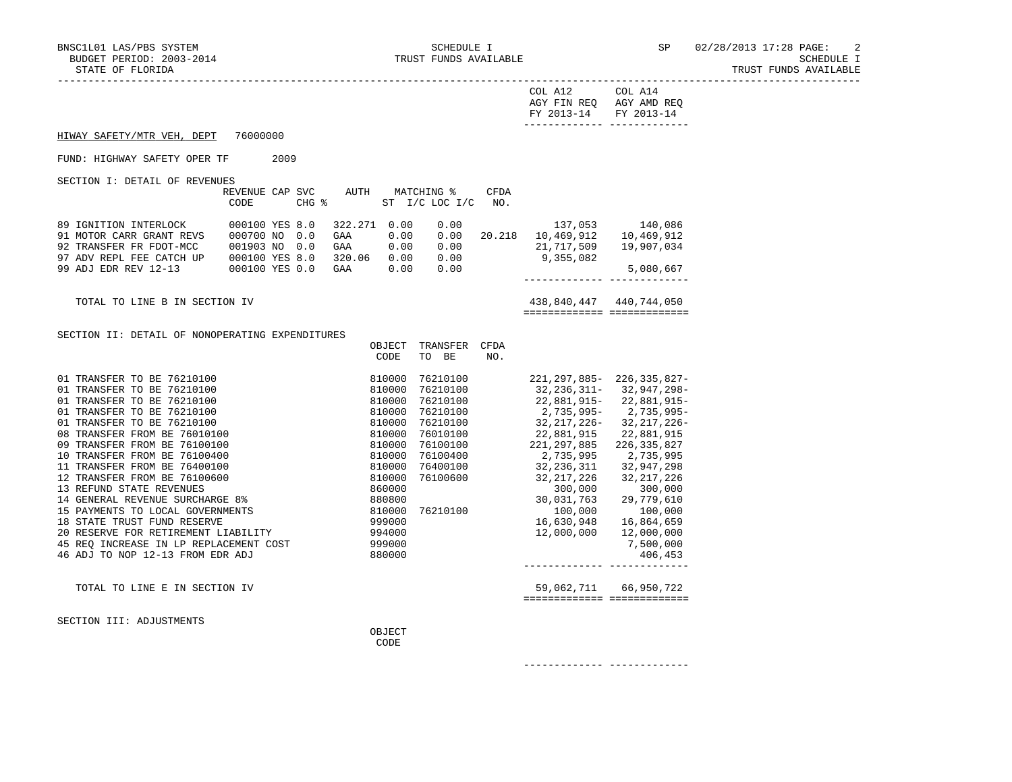TRUST FUNDS AVAILABLE

| $\gamma$ nt.<br>AGY FIN REQ<br>--<br>FY 2013-14 | ി∩⊤<br>AGY AMD REQ<br>FY 2013-14<br>--------- ------------- |
|-------------------------------------------------|-------------------------------------------------------------|
|                                                 |                                                             |

# HIWAY SAFETY/MTR VEH, DEPT 76000000

#### FUND: HIGHWAY SAFETY OPER TF 2009

SECTION I: DETAIL OF REVENUES

| 00011011 1: 00111110 01 10010100                                                                                                 | REVENUE CAP SVC<br>CODE                                                                   | CHG % | AUTH                                   | MATCHING %                           | ST I/C LOC I/C                       | CFDA<br>NO. |                                                  |                                                  |
|----------------------------------------------------------------------------------------------------------------------------------|-------------------------------------------------------------------------------------------|-------|----------------------------------------|--------------------------------------|--------------------------------------|-------------|--------------------------------------------------|--------------------------------------------------|
| 89 IGNITION INTERLOCK<br>91 MOTOR CARR GRANT REVS<br>92 TRANSFER FR FDOT-MCC<br>97 ADV REPL FEE CATCH UP<br>99 ADJ EDR REV 12-13 | 000100 YES 8.0<br>000700 NO 0.0<br>$0.01903$ NO $0.0$<br>000100 YES 8.0<br>000100 YES 0.0 |       | 322.271<br>GAA<br>GAA<br>320.06<br>GAA | 0.00<br>0.00<br>0.00<br>0.00<br>0.00 | 0.00<br>0.00<br>0.00<br>0.00<br>0.00 | 20.218      | 137,053<br>10,469,912<br>21,717,509<br>9,355,082 | 140,086<br>10,469,912<br>19,907,034<br>5,080,667 |

 TOTAL TO LINE B IN SECTION IV 438,840,447 440,744,050 ============= =============

------------- -------------

#### SECTION II: DETAIL OF NONOPERATING EXPENDITURES

|                                        | OBJECT | TRANSFER | <b>CFDA</b> |                   |                   |
|----------------------------------------|--------|----------|-------------|-------------------|-------------------|
|                                        | CODE   | BE<br>TO | NO.         |                   |                   |
| 01 TRANSFER TO BE 76210100             | 810000 | 76210100 |             | $221, 297, 885 -$ | $226, 335, 827 -$ |
| TRANSFER TO BE<br>76210100<br>01       | 810000 | 76210100 |             | 32,236,311-       | 32,947,298-       |
| TRANSFER TO BE<br>76210100<br>01       | 810000 | 76210100 |             | 22,881,915-       | 22,881,915-       |
| <b>TRANSFER TO BE 76210100</b><br>01   | 810000 | 76210100 |             | 2,735,995-        | 2,735,995-        |
| <b>TRANSFER TO BE 76210100</b><br>01   | 810000 | 76210100 |             | 32,217,226-       | 32,217,226-       |
| TRANSFER FROM BE 76010100<br>08        | 810000 | 76010100 |             | 22,881,915        | 22,881,915        |
| TRANSFER FROM BE 76100100<br>09        | 810000 | 76100100 |             | 221,297,885       | 226, 335, 827     |
| TRANSFER FROM BE 76100400<br>10        | 810000 | 76100400 |             | 2,735,995         | 2,735,995         |
| 11 TRANSFER FROM BE 76400100           | 810000 | 76400100 |             | 32,236,311        | 32,947,298        |
| 12 TRANSFER FROM BE 76100600           | 810000 | 76100600 |             | 32, 217, 226      | 32, 217, 226      |
| 13 REFUND STATE REVENUES               | 860000 |          |             | 300,000           | 300,000           |
| 14 GENERAL REVENUE SURCHARGE 8%        | 880800 |          |             | 30,031,763        | 29,779,610        |
| 15 PAYMENTS TO LOCAL GOVERNMENTS       | 810000 | 76210100 |             | 100,000           | 100,000           |
| 18 STATE TRUST FUND RESERVE            | 999000 |          |             | 16,630,948        | 16,864,659        |
| 20 RESERVE FOR RETIREMENT LIABILITY    | 994000 |          |             | 12,000,000        | 12,000,000        |
| 45 REO INCREASE IN LP REPLACEMENT COST | 999000 |          |             |                   | 7,500,000         |
| 46 ADJ TO NOP 12-13 FROM EDR ADJ       | 880000 |          |             |                   | 406,453           |
|                                        |        |          |             |                   |                   |
| TOTAL TO LINE E IN SECTION IV          |        |          |             | 59,062,711        | 66,950,722        |
|                                        |        |          |             |                   |                   |

SECTION III: ADJUSTMENTS

 OBJECT **CODE**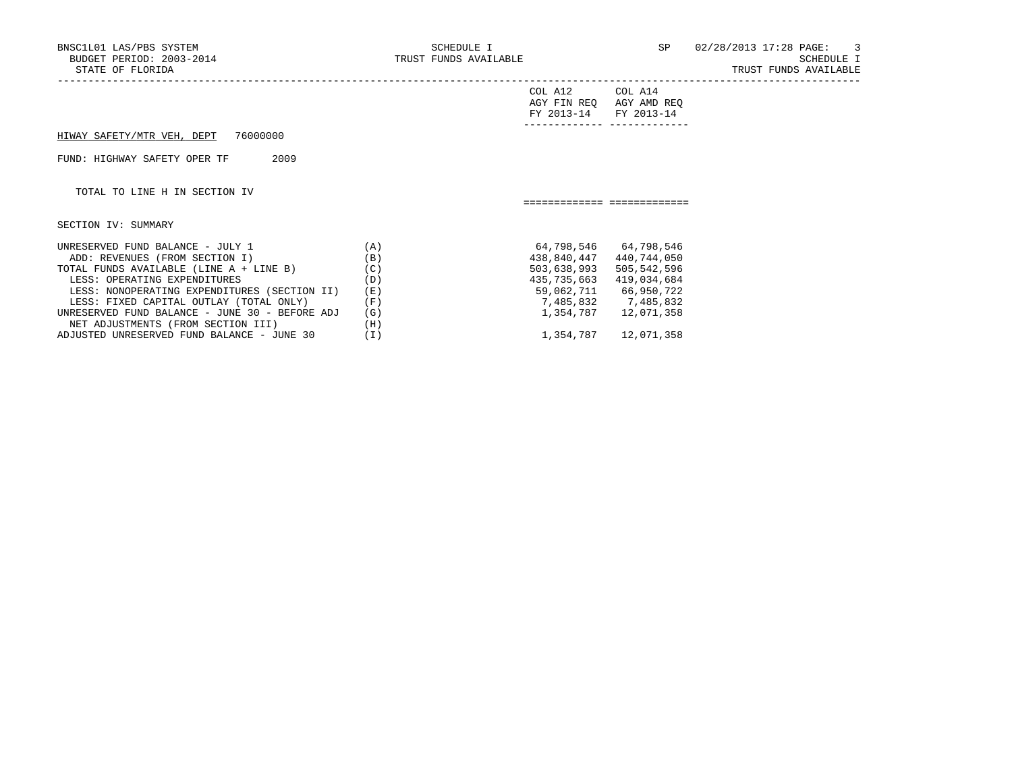TRUST FUNDS AVAILABLE

|                                                                                                                                                                                                                                                                                            |                                               | COL A12<br>AGY FIN REQ<br>FY 2013-14                   | COL A14<br>AGY AMD REQ<br>FY 2013-14                                                                                             |
|--------------------------------------------------------------------------------------------------------------------------------------------------------------------------------------------------------------------------------------------------------------------------------------------|-----------------------------------------------|--------------------------------------------------------|----------------------------------------------------------------------------------------------------------------------------------|
| 76000000<br>HIWAY SAFETY/MTR VEH, DEPT                                                                                                                                                                                                                                                     |                                               |                                                        |                                                                                                                                  |
| 2009<br>FUND: HIGHWAY SAFETY OPER TF                                                                                                                                                                                                                                                       |                                               |                                                        |                                                                                                                                  |
| TOTAL TO LINE H IN SECTION IV                                                                                                                                                                                                                                                              |                                               |                                                        |                                                                                                                                  |
| SECTION IV: SUMMARY                                                                                                                                                                                                                                                                        |                                               |                                                        |                                                                                                                                  |
| UNRESERVED FUND BALANCE - JULY 1<br>ADD: REVENUES (FROM SECTION I)<br>TOTAL FUNDS AVAILABLE (LINE A + LINE B)<br>LESS: OPERATING EXPENDITURES<br>LESS: NONOPERATING EXPENDITURES (SECTION II)<br>LESS: FIXED CAPITAL OUTLAY (TOTAL ONLY)<br>UNRESERVED FUND BALANCE - JUNE 30 - BEFORE ADJ | (A)<br>(B)<br>(C)<br>(D)<br>(E)<br>(F)<br>(G) | 438,840,447<br>503,638,993<br>435,735,663<br>1,354,787 | 64,798,546 64,798,546<br>440,744,050<br>505,542,596<br>419,034,684<br>59,062,711 66,950,722<br>7,485,832 7,485,832<br>12,071,358 |
| NET ADJUSTMENTS (FROM SECTION III)                                                                                                                                                                                                                                                         | (H)                                           |                                                        |                                                                                                                                  |

ADJUSTED UNRESERVED FUND BALANCE - JUNE 30 (I) 1,354,787 12,071,358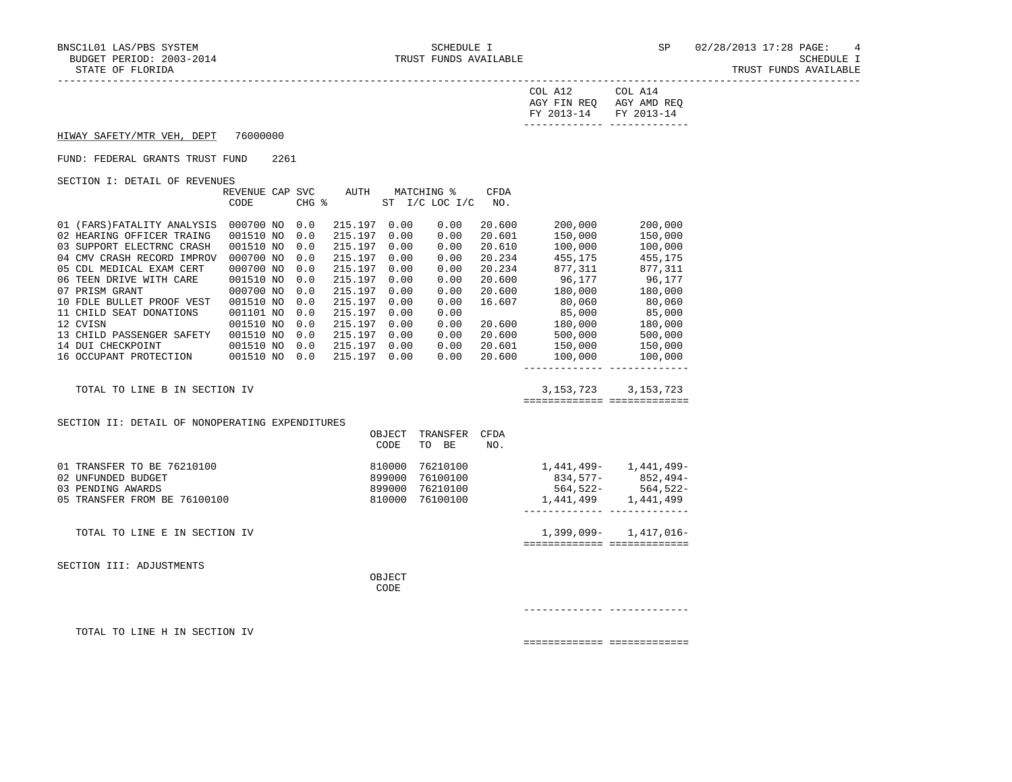| COL A12                              | COL A14     |
|--------------------------------------|-------------|
| AGY FIN REQ<br>FY 2013-14 FY 2013-14 | AGY AMD REO |
|                                      |             |

HIWAY SAFETY/MTR VEH, DEPT 76000000

#### FUND: FEDERAL GRANTS TRUST FUND 2261

SECTION I: DETAIL OF REVENUES

|                                                 | REVENUE CAP SVC<br>CODE | CHG % | AUTH         |                | MATCHING %<br>ST I/C LOC I/C | CFDA<br>NO. |                                                                                           |                           |
|-------------------------------------------------|-------------------------|-------|--------------|----------------|------------------------------|-------------|-------------------------------------------------------------------------------------------|---------------------------|
|                                                 |                         |       |              |                |                              |             |                                                                                           |                           |
| 01 (FARS) FATALITY ANALYSIS                     | 000700 NO               | 0.0   | 215.197      | 0.00           | 0.00                         | 20.600      | 200,000                                                                                   | 200,000                   |
| 02 HEARING OFFICER TRAING                       | 001510 NO               | 0.0   | 215.197 0.00 |                | 0.00                         | 20.601      | 150,000                                                                                   | 150,000                   |
| 03 SUPPORT ELECTRNC CRASH                       | 001510 NO               | 0.0   | 215.197 0.00 |                | 0.00                         | 20.610      | 100,000                                                                                   | 100,000                   |
| 04 CMV CRASH RECORD IMPROV                      | 000700 NO               | 0.0   | 215.197      | 0.00           | 0.00                         | 20.234      | 455, 175                                                                                  | 455,175                   |
| 05 CDL MEDICAL EXAM CERT                        | 000700 NO               | 0.0   | 215.197      | 0.00           | 0.00                         |             | 20.234 877,311 877,311                                                                    |                           |
| 06 TEEN DRIVE WITH CARE                         | 001510 NO               | 0.0   | 215.197      | 0.00           | 0.00                         | 20.600      | 96,177 96,177                                                                             |                           |
| 07 PRISM GRANT                                  | 000700 NO               | 0.0   | 215.197      | 0.00           | 0.00                         | 20.600      | 180,000 180,000                                                                           |                           |
| 10 FDLE BULLET PROOF VEST                       | 001510 NO               | 0.0   | 215.197 0.00 |                | 0.00                         | 16.607      | 80,060             80,060<br>85,000                85,000<br>180,000              180,000 |                           |
| 11 CHILD SEAT DONATIONS                         | 001101 NO               | 0.0   | 215.197 0.00 |                | 0.00                         |             |                                                                                           |                           |
| 12 CVISN                                        | 001510 NO               | 0.0   | 215.197 0.00 |                | 0.00                         | 20.600      |                                                                                           |                           |
| 13 CHILD PASSENGER SAFETY                       | 001510 NO               | 0.0   | 215.197      | 0.00           | 0.00                         |             | 20.600 500,000                                                                            | 500,000                   |
| 14 DUI CHECKPOINT                               | 001510 NO               | 0.0   | 215.197 0.00 |                | 0.00                         | 20.601      | 150,000                                                                                   | 150,000                   |
| 16 OCCUPANT PROTECTION 001510 NO                |                         | 0.0   | 215.197 0.00 |                | 0.00                         | 20.600      |                                                                                           | 100,000 100,000           |
|                                                 |                         |       |              |                |                              |             | ------------- --------------                                                              |                           |
| TOTAL TO LINE B IN SECTION IV                   |                         |       |              |                |                              |             |                                                                                           | 3, 153, 723 3, 153, 723   |
|                                                 |                         |       |              |                |                              |             | ============================                                                              |                           |
| SECTION II: DETAIL OF NONOPERATING EXPENDITURES |                         |       |              |                |                              |             |                                                                                           |                           |
|                                                 |                         |       |              | OBJECT         | TRANSFER                     | CFDA        |                                                                                           |                           |
|                                                 |                         |       |              | CODE           | TO BE                        | NO.         |                                                                                           |                           |
|                                                 |                         |       |              |                |                              |             |                                                                                           |                           |
| 01 TRANSFER TO BE 76210100                      |                         |       |              | 810000         |                              |             | 76210100 1,441,499- 1,441,499-                                                            |                           |
| 02 UNFUNDED BUDGET                              |                         |       |              | 899000         | 76100100                     |             | $834,577-852,494-$                                                                        |                           |
| 03 PENDING AWARDS                               |                         |       |              | 899000         |                              |             | 76210100 564,522- 564,522-<br>76100100 1,441,499 1,441,499                                |                           |
| 05 TRANSFER FROM BE 76100100                    |                         |       |              | 810000         | 76100100                     |             | ________________________________                                                          |                           |
|                                                 |                         |       |              |                |                              |             |                                                                                           |                           |
| TOTAL TO LINE E IN SECTION IV                   |                         |       |              |                |                              |             | ============================                                                              | $1,399,099 - 1,417,016 -$ |
|                                                 |                         |       |              |                |                              |             |                                                                                           |                           |
| SECTION III: ADJUSTMENTS                        |                         |       |              |                |                              |             |                                                                                           |                           |
|                                                 |                         |       |              | OBJECT<br>CODE |                              |             |                                                                                           |                           |
|                                                 |                         |       |              |                |                              |             |                                                                                           |                           |
|                                                 |                         |       |              |                |                              |             |                                                                                           |                           |
| TOTAL TO LINE H IN SECTION IV                   |                         |       |              |                |                              |             |                                                                                           |                           |

============= =============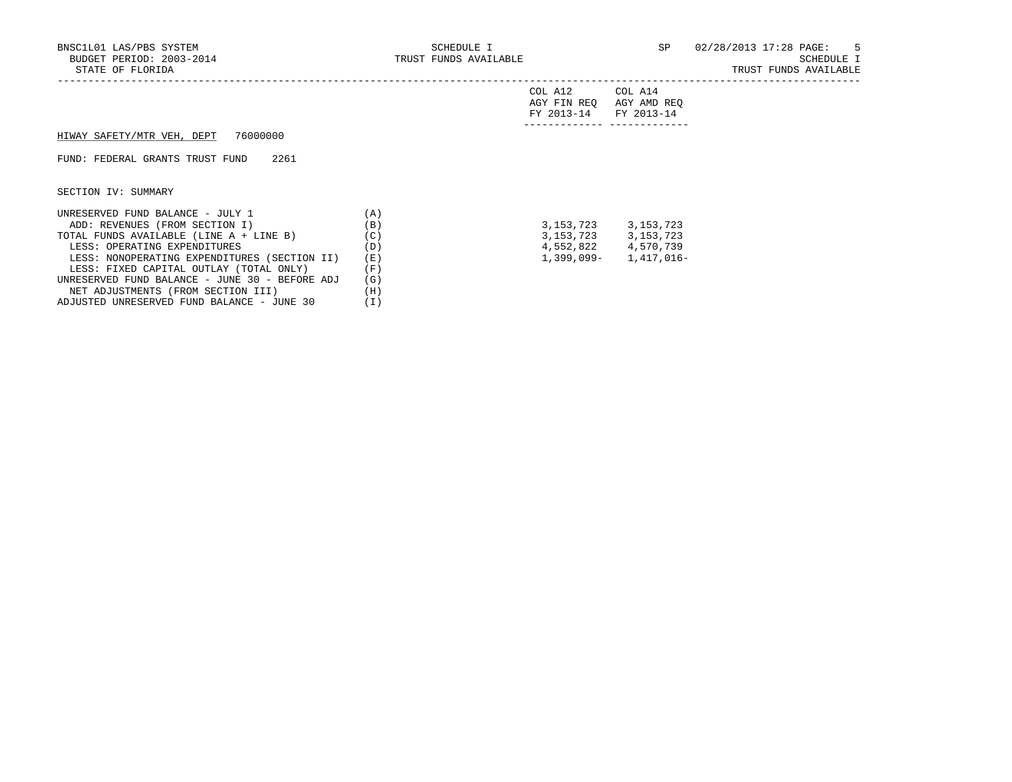NET ADJUSTMENTS (FROM SECTION III) (H)<br>DJUSTED UNRESERVED FUND BALANCE - JUNE 30 (I) ADJUSTED UNRESERVED FUND BALANCE - JUNE 30 (I)

# STATE OF THE OF SCHEDULE I<br>TRUST FUNDS AVAILABLE

|  | TRUST FUNDS AVAILABLE |
|--|-----------------------|
|  |                       |

|                                                |     | COL A12<br>AGY FIN REO<br>FY 2013-14 | COL A14<br>AGY AMD REQ<br>FY 2013-14 |
|------------------------------------------------|-----|--------------------------------------|--------------------------------------|
| 76000000<br>HIWAY SAFETY/MTR VEH, DEPT         |     |                                      |                                      |
| FUND: FEDERAL GRANTS TRUST FUND<br>2261        |     |                                      |                                      |
| SECTION IV: SUMMARY                            |     |                                      |                                      |
| UNRESERVED FUND BALANCE - JULY 1               | (A) |                                      |                                      |
| ADD: REVENUES (FROM SECTION I)                 | (B) | 3,153,723                            | 3,153,723                            |
| TOTAL FUNDS AVAILABLE (LINE A + LINE B)        | (C) |                                      | 3, 153, 723 3, 153, 723              |
| LESS: OPERATING EXPENDITURES                   | (D) |                                      | 4,552,822 4,570,739                  |
| LESS: NONOPERATING EXPENDITURES (SECTION II)   | (E) | 1,399,099-                           | 1,417,016-                           |
| LESS: FIXED CAPITAL OUTLAY (TOTAL ONLY)        | (F) |                                      |                                      |
| UNRESERVED FUND BALANCE - JUNE 30 - BEFORE ADJ | (G) |                                      |                                      |
| NET ADJUSTMENTS (FROM SECTION III)             | (H) |                                      |                                      |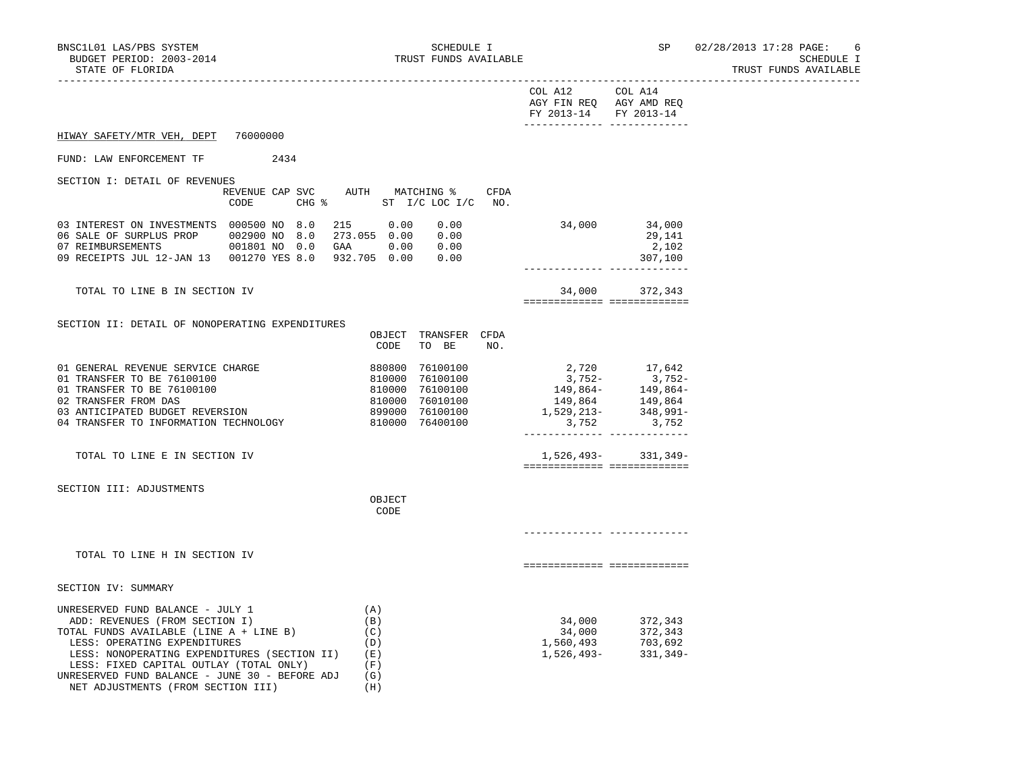NET ADJUSTMENTS (FROM SECTION III) (H)

TRUST FUNDS AVAILABLE

|                                                                                                                                                                                                                                                                                            |                                                                     |                                                 |                                                                                                         |      | COL A12 COL A14<br>AGY FIN REQ AGY AMD REQ<br>FY 2013-14 FY 2013-14<br>______________ _____________ |                                                                                                                                                               |  |
|--------------------------------------------------------------------------------------------------------------------------------------------------------------------------------------------------------------------------------------------------------------------------------------------|---------------------------------------------------------------------|-------------------------------------------------|---------------------------------------------------------------------------------------------------------|------|-----------------------------------------------------------------------------------------------------|---------------------------------------------------------------------------------------------------------------------------------------------------------------|--|
| HIWAY SAFETY/MTR VEH, DEPT                                                                                                                                                                                                                                                                 | 76000000                                                            |                                                 |                                                                                                         |      |                                                                                                     |                                                                                                                                                               |  |
| FUND: LAW ENFORCEMENT TF                                                                                                                                                                                                                                                                   | 2434                                                                |                                                 |                                                                                                         |      |                                                                                                     |                                                                                                                                                               |  |
| SECTION I: DETAIL OF REVENUES                                                                                                                                                                                                                                                              | REVENUE CAP SVC AUTH MATCHING %<br>CHG % ST I/C LOC I/C NO.<br>CODE |                                                 |                                                                                                         | CFDA |                                                                                                     |                                                                                                                                                               |  |
| 03 INTEREST ON INVESTMENTS 000500 NO 8.0 215 0.00 0.00<br>06 SALE OF SURPLUS PROP 002900 NO 8.0 273.055 0.00 0.00<br>07 REIMBURSEMENTS 001801 NO 0.0 GAA 0.00 0.00<br>09 RECEIPTS JUL 12-JAN 13  001270 YES 8.0  932.705  0.00                                                             |                                                                     |                                                 | 0.00                                                                                                    |      |                                                                                                     | 34,000 34,000<br>29,141<br>2,102<br>307,100                                                                                                                   |  |
| TOTAL TO LINE B IN SECTION IV                                                                                                                                                                                                                                                              |                                                                     |                                                 |                                                                                                         |      | ============================                                                                        | 34,000 372,343                                                                                                                                                |  |
| SECTION II: DETAIL OF NONOPERATING EXPENDITURES                                                                                                                                                                                                                                            |                                                                     | CODE                                            | OBJECT TRANSFER CFDA<br>TO BE                                                                           | NO.  |                                                                                                     |                                                                                                                                                               |  |
| 01 GENERAL REVENUE SERVICE CHARGE<br>01 TRANSFER TO BE 76100100<br>01 TRANSFER TO BE 76100100<br>02 TRANSFER FROM DAS<br>03 ANTICIPATED BUDGET REVERSION<br>04 TRANSFER TO INFORMATION TECHNOLOGY                                                                                          |                                                                     | 880800                                          | 76100100<br>810000 76100100<br>810000 76100100<br>810000 76010100<br>899000 76100100<br>810000 76400100 |      | 2,720<br>3,752-<br>149,864<br>-1,529,213<br>3,752                                                   | 17,642<br>$3,752-$<br>$3,752-$<br>$149,864-$<br>$149,864-$<br>$149,864-$<br>$149,864-$<br>$149,864-$<br>$348,991-$<br>3,752<br>______________________________ |  |
| TOTAL TO LINE E IN SECTION IV                                                                                                                                                                                                                                                              |                                                                     |                                                 |                                                                                                         |      | ===========================                                                                         | $1,526,493-$ 331,349-                                                                                                                                         |  |
| SECTION III: ADJUSTMENTS                                                                                                                                                                                                                                                                   |                                                                     | OBJECT<br>CODE                                  |                                                                                                         |      |                                                                                                     |                                                                                                                                                               |  |
| TOTAL TO LINE H IN SECTION IV                                                                                                                                                                                                                                                              |                                                                     |                                                 |                                                                                                         |      | ===========================                                                                         |                                                                                                                                                               |  |
| SECTION IV: SUMMARY                                                                                                                                                                                                                                                                        |                                                                     |                                                 |                                                                                                         |      |                                                                                                     |                                                                                                                                                               |  |
| UNRESERVED FUND BALANCE - JULY 1<br>ADD: REVENUES (FROM SECTION I)<br>TOTAL FUNDS AVAILABLE (LINE A + LINE B)<br>LESS: OPERATING EXPENDITURES<br>LESS: NONOPERATING EXPENDITURES (SECTION II)<br>LESS: FIXED CAPITAL OUTLAY (TOTAL ONLY)<br>UNRESERVED FUND BALANCE - JUNE 30 - BEFORE ADJ |                                                                     | (A)<br>(B)<br>(C)<br>(D)<br>( E )<br>(F)<br>(G) |                                                                                                         |      |                                                                                                     | 34,000 372,343<br>34,000 372,343<br>331,349-                                                                                                                  |  |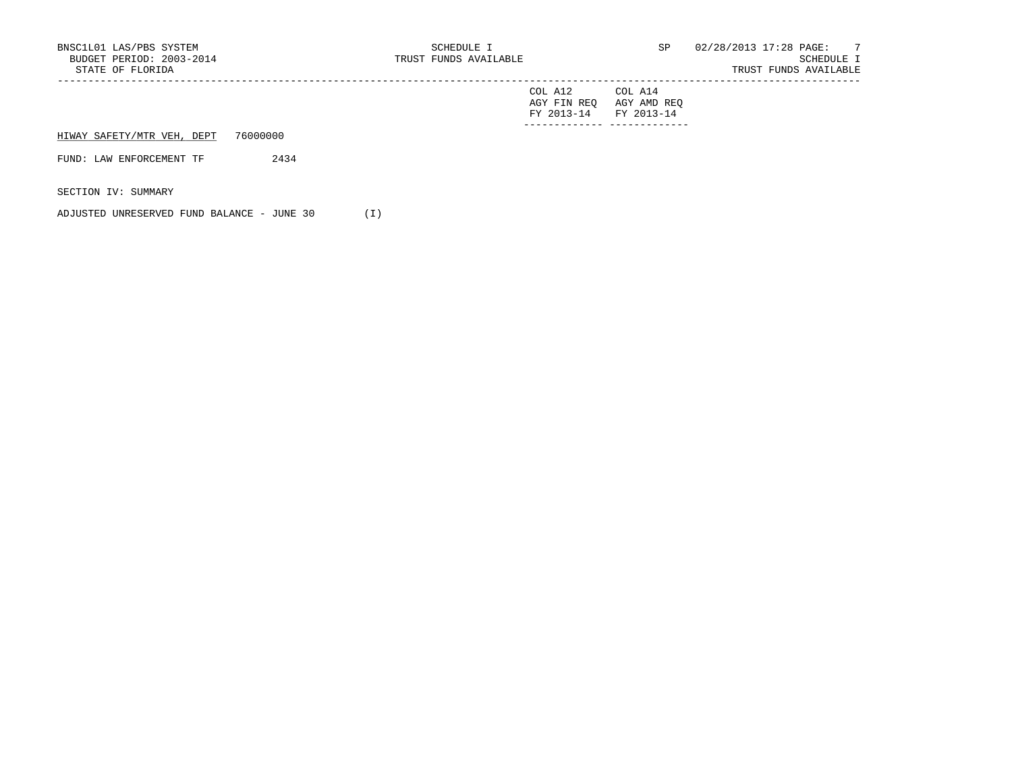| BNSC1L01 LAS/PBS SYSTEM<br>BUDGET PERIOD: 2003-2014<br>STATE OF FLORIDA |          | SCHEDULE I<br>TRUST FUNDS AVAILABLE |                                      | SP                                   | 02/28/2013 17:28 PAGE: 7<br>SCHEDULE I<br>TRUST FUNDS AVAILABLE |
|-------------------------------------------------------------------------|----------|-------------------------------------|--------------------------------------|--------------------------------------|-----------------------------------------------------------------|
|                                                                         |          |                                     | COL A12<br>AGY FIN REO<br>FY 2013-14 | COL A14<br>AGY AMD REO<br>FY 2013-14 |                                                                 |
| HIWAY SAFETY/MTR VEH, DEPT                                              | 76000000 |                                     |                                      |                                      |                                                                 |
| FUND: LAW ENFORCEMENT TF                                                | 2434     |                                     |                                      |                                      |                                                                 |
| SECTION IV: SUMMARY                                                     |          |                                     |                                      |                                      |                                                                 |

ADJUSTED UNRESERVED FUND BALANCE - JUNE 30 (I)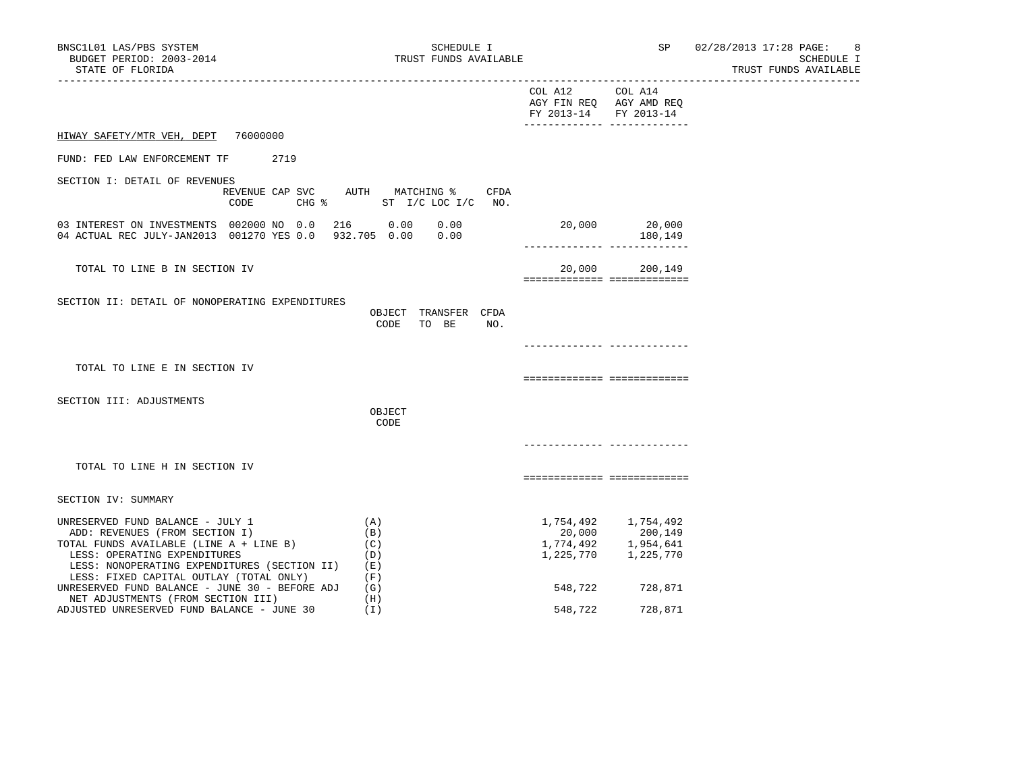# TRUST FUNDS AVAILABLE

|                                                                                                                                                                                                                                          |                                              | COL A12 COL A14<br>AGY FIN REQ AGY AMD REQ<br>FY 2013-14 FY 2013-14<br>______________ _____________ |                                                                           |  |
|------------------------------------------------------------------------------------------------------------------------------------------------------------------------------------------------------------------------------------------|----------------------------------------------|-----------------------------------------------------------------------------------------------------|---------------------------------------------------------------------------|--|
| HIWAY SAFETY/MTR VEH, DEPT<br>76000000                                                                                                                                                                                                   |                                              |                                                                                                     |                                                                           |  |
| FUND: FED LAW ENFORCEMENT TF<br>2719                                                                                                                                                                                                     |                                              |                                                                                                     |                                                                           |  |
| SECTION I: DETAIL OF REVENUES<br>REVENUE CAP SVC AUTH MATCHING %<br>CODE                                                                                                                                                                 | CFDA<br>CHG $\text{\$}$ ST I/C LOC I/C NO.   |                                                                                                     |                                                                           |  |
| 03 INTEREST ON INVESTMENTS 002000 NO 0.0 216 0.00 0.00<br>04 ACTUAL REC JULY-JAN2013 001270 YES 0.0 932.705 0.00 0.00                                                                                                                    |                                              | -------------- --------------                                                                       | 20,000 20,000<br>180,149                                                  |  |
| TOTAL TO LINE B IN SECTION IV                                                                                                                                                                                                            |                                              | ============== ==============                                                                       | 20,000 200,149                                                            |  |
| SECTION II: DETAIL OF NONOPERATING EXPENDITURES                                                                                                                                                                                          | OBJECT TRANSFER CFDA<br>CODE<br>TO BE<br>NO. |                                                                                                     |                                                                           |  |
| TOTAL TO LINE E IN SECTION IV                                                                                                                                                                                                            |                                              | ===========================                                                                         |                                                                           |  |
| SECTION III: ADJUSTMENTS                                                                                                                                                                                                                 | OBJECT<br>CODE                               |                                                                                                     |                                                                           |  |
| TOTAL TO LINE H IN SECTION IV                                                                                                                                                                                                            |                                              | ============================                                                                        |                                                                           |  |
| SECTION IV: SUMMARY                                                                                                                                                                                                                      |                                              |                                                                                                     |                                                                           |  |
| UNRESERVED FUND BALANCE - JULY 1<br>ADD: REVENUES (FROM SECTION I)<br>TOTAL FUNDS AVAILABLE (LINE A + LINE B)<br>LESS: OPERATING EXPENDITURES<br>LESS: NONOPERATING EXPENDITURES (SECTION II)<br>LESS: FIXED CAPITAL OUTLAY (TOTAL ONLY) | (A)<br>(B)<br>(C)<br>(D)<br>(E)<br>(F)       | 1,225,770                                                                                           | 1,754,492 1,754,492<br>20,000 200,149<br>1,774,492 1,954,641<br>1,225,770 |  |
| UNRESERVED FUND BALANCE - JUNE 30 - BEFORE ADJ<br>NET ADJUSTMENTS (FROM SECTION III)<br>ADJUSTED UNRESERVED FUND BALANCE - JUNE 30                                                                                                       | (G)<br>(H)<br>(I)                            | 548,722<br>548,722                                                                                  | 728,871<br>728,871                                                        |  |